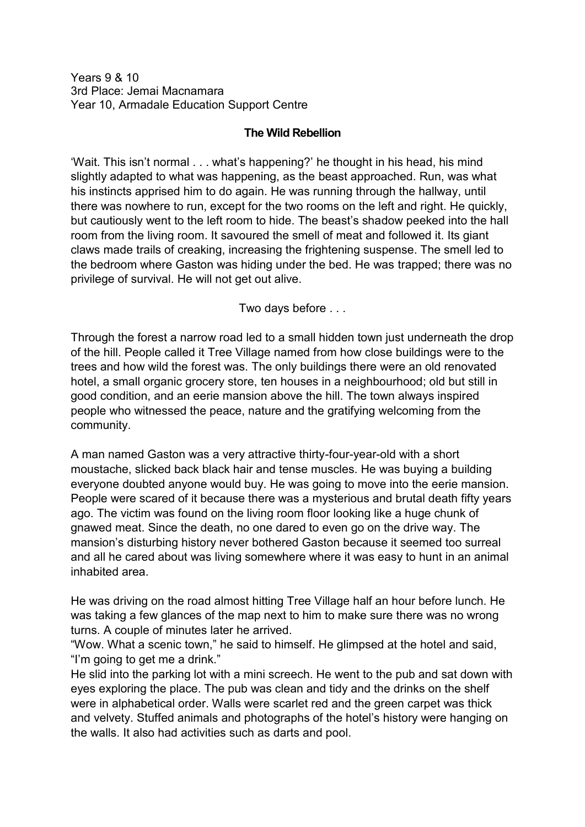Years 9 & 10 3rd Place: Jemai Macnamara Year 10, Armadale Education Support Centre

## **The Wild Rebellion**

'Wait. This isn't normal . . . what's happening?' he thought in his head, his mind slightly adapted to what was happening, as the beast approached. Run, was what his instincts apprised him to do again. He was running through the hallway, until there was nowhere to run, except for the two rooms on the left and right. He quickly, but cautiously went to the left room to hide. The beast's shadow peeked into the hall room from the living room. It savoured the smell of meat and followed it. Its giant claws made trails of creaking, increasing the frightening suspense. The smell led to the bedroom where Gaston was hiding under the bed. He was trapped; there was no privilege of survival. He will not get out alive.

Two days before . . .

Through the forest a narrow road led to a small hidden town just underneath the drop of the hill. People called it Tree Village named from how close buildings were to the trees and how wild the forest was. The only buildings there were an old renovated hotel, a small organic grocery store, ten houses in a neighbourhood; old but still in good condition, and an eerie mansion above the hill. The town always inspired people who witnessed the peace, nature and the gratifying welcoming from the community.

A man named Gaston was a very attractive thirty-four-year-old with a short moustache, slicked back black hair and tense muscles. He was buying a building everyone doubted anyone would buy. He was going to move into the eerie mansion. People were scared of it because there was a mysterious and brutal death fifty years ago. The victim was found on the living room floor looking like a huge chunk of gnawed meat. Since the death, no one dared to even go on the drive way. The mansion's disturbing history never bothered Gaston because it seemed too surreal and all he cared about was living somewhere where it was easy to hunt in an animal inhabited area.

He was driving on the road almost hitting Tree Village half an hour before lunch. He was taking a few glances of the map next to him to make sure there was no wrong turns. A couple of minutes later he arrived.

"Wow. What a scenic town," he said to himself. He glimpsed at the hotel and said, "I'm going to get me a drink."

He slid into the parking lot with a mini screech. He went to the pub and sat down with eyes exploring the place. The pub was clean and tidy and the drinks on the shelf were in alphabetical order. Walls were scarlet red and the green carpet was thick and velvety. Stuffed animals and photographs of the hotel's history were hanging on the walls. It also had activities such as darts and pool.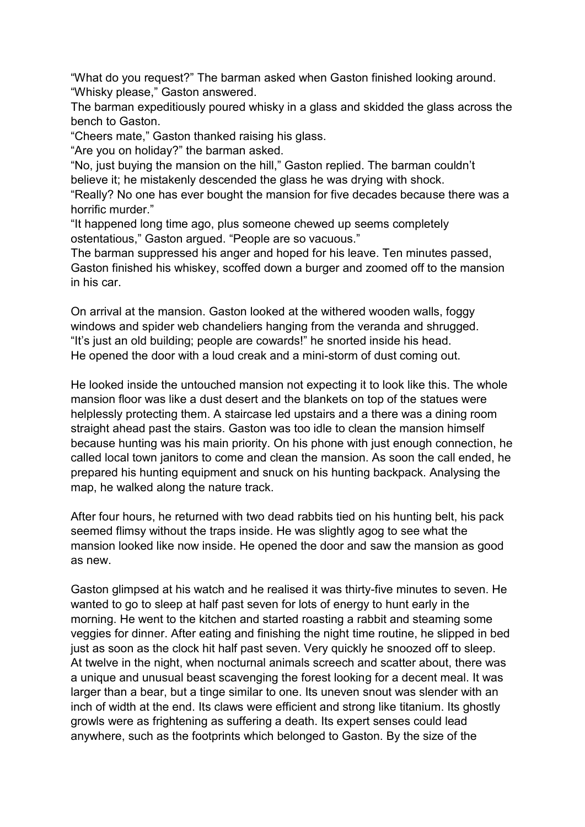"What do you request?" The barman asked when Gaston finished looking around. "Whisky please," Gaston answered.

The barman expeditiously poured whisky in a glass and skidded the glass across the bench to Gaston.

"Cheers mate," Gaston thanked raising his glass.

"Are you on holiday?" the barman asked.

"No, just buying the mansion on the hill," Gaston replied. The barman couldn't believe it; he mistakenly descended the glass he was drying with shock.

"Really? No one has ever bought the mansion for five decades because there was a horrific murder."

"It happened long time ago, plus someone chewed up seems completely ostentatious," Gaston argued. "People are so vacuous."

The barman suppressed his anger and hoped for his leave. Ten minutes passed, Gaston finished his whiskey, scoffed down a burger and zoomed off to the mansion in his car.

On arrival at the mansion. Gaston looked at the withered wooden walls, foggy windows and spider web chandeliers hanging from the veranda and shrugged. "It's just an old building; people are cowards!" he snorted inside his head. He opened the door with a loud creak and a mini-storm of dust coming out.

He looked inside the untouched mansion not expecting it to look like this. The whole mansion floor was like a dust desert and the blankets on top of the statues were helplessly protecting them. A staircase led upstairs and a there was a dining room straight ahead past the stairs. Gaston was too idle to clean the mansion himself because hunting was his main priority. On his phone with just enough connection, he called local town janitors to come and clean the mansion. As soon the call ended, he prepared his hunting equipment and snuck on his hunting backpack. Analysing the map, he walked along the nature track.

After four hours, he returned with two dead rabbits tied on his hunting belt, his pack seemed flimsy without the traps inside. He was slightly agog to see what the mansion looked like now inside. He opened the door and saw the mansion as good as new.

Gaston glimpsed at his watch and he realised it was thirty-five minutes to seven. He wanted to go to sleep at half past seven for lots of energy to hunt early in the morning. He went to the kitchen and started roasting a rabbit and steaming some veggies for dinner. After eating and finishing the night time routine, he slipped in bed just as soon as the clock hit half past seven. Very quickly he snoozed off to sleep. At twelve in the night, when nocturnal animals screech and scatter about, there was a unique and unusual beast scavenging the forest looking for a decent meal. It was larger than a bear, but a tinge similar to one. Its uneven snout was slender with an inch of width at the end. Its claws were efficient and strong like titanium. Its ghostly growls were as frightening as suffering a death. Its expert senses could lead anywhere, such as the footprints which belonged to Gaston. By the size of the